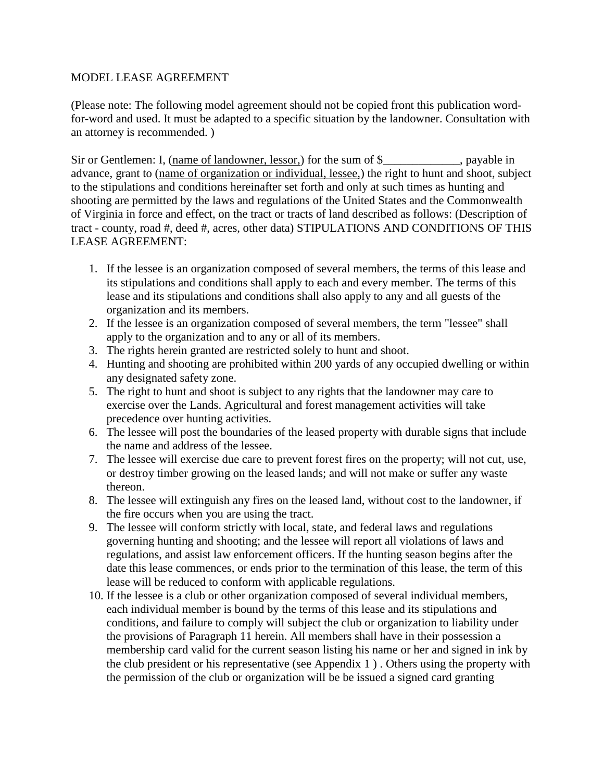#### MODEL LEASE AGREEMENT

(Please note: The following model agreement should not be copied front this publication wordfor-word and used. It must be adapted to a specific situation by the landowner. Consultation with an attorney is recommended. )

Sir or Gentlemen: I, (name of landowner, lessor,) for the sum of \$\_\_\_\_\_\_\_\_\_\_\_, payable in advance, grant to (name of organization or individual, lessee,) the right to hunt and shoot, subject to the stipulations and conditions hereinafter set forth and only at such times as hunting and shooting are permitted by the laws and regulations of the United States and the Commonwealth of Virginia in force and effect, on the tract or tracts of land described as follows: (Description of tract - county, road #, deed #, acres, other data) STIPULATIONS AND CONDITIONS OF THIS LEASE AGREEMENT:

- 1. If the lessee is an organization composed of several members, the terms of this lease and its stipulations and conditions shall apply to each and every member. The terms of this lease and its stipulations and conditions shall also apply to any and all guests of the organization and its members.
- 2. If the lessee is an organization composed of several members, the term "lessee" shall apply to the organization and to any or all of its members.
- 3. The rights herein granted are restricted solely to hunt and shoot.
- 4. Hunting and shooting are prohibited within 200 yards of any occupied dwelling or within any designated safety zone.
- 5. The right to hunt and shoot is subject to any rights that the landowner may care to exercise over the Lands. Agricultural and forest management activities will take precedence over hunting activities.
- 6. The lessee will post the boundaries of the leased property with durable signs that include the name and address of the lessee.
- 7. The lessee will exercise due care to prevent forest fires on the property; will not cut, use, or destroy timber growing on the leased lands; and will not make or suffer any waste thereon.
- 8. The lessee will extinguish any fires on the leased land, without cost to the landowner, if the fire occurs when you are using the tract.
- 9. The lessee will conform strictly with local, state, and federal laws and regulations governing hunting and shooting; and the lessee will report all violations of laws and regulations, and assist law enforcement officers. If the hunting season begins after the date this lease commences, or ends prior to the termination of this lease, the term of this lease will be reduced to conform with applicable regulations.
- 10. If the lessee is a club or other organization composed of several individual members, each individual member is bound by the terms of this lease and its stipulations and conditions, and failure to comply will subject the club or organization to liability under the provisions of Paragraph 11 herein. All members shall have in their possession a membership card valid for the current season listing his name or her and signed in ink by the club president or his representative (see Appendix 1 ) . Others using the property with the permission of the club or organization will be be issued a signed card granting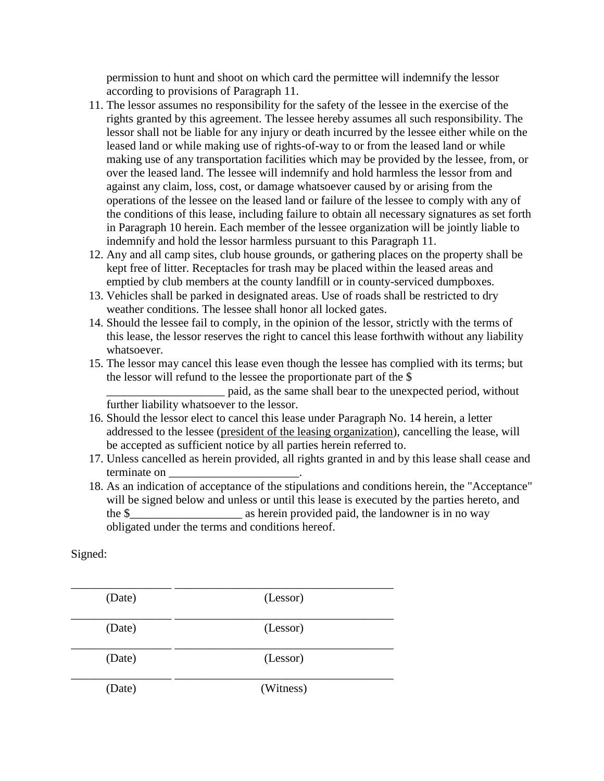permission to hunt and shoot on which card the permittee will indemnify the lessor according to provisions of Paragraph 11.

- 11. The lessor assumes no responsibility for the safety of the lessee in the exercise of the rights granted by this agreement. The lessee hereby assumes all such responsibility. The lessor shall not be liable for any injury or death incurred by the lessee either while on the leased land or while making use of rights-of-way to or from the leased land or while making use of any transportation facilities which may be provided by the lessee, from, or over the leased land. The lessee will indemnify and hold harmless the lessor from and against any claim, loss, cost, or damage whatsoever caused by or arising from the operations of the lessee on the leased land or failure of the lessee to comply with any of the conditions of this lease, including failure to obtain all necessary signatures as set forth in Paragraph 10 herein. Each member of the lessee organization will be jointly liable to indemnify and hold the lessor harmless pursuant to this Paragraph 11.
- 12. Any and all camp sites, club house grounds, or gathering places on the property shall be kept free of litter. Receptacles for trash may be placed within the leased areas and emptied by club members at the county landfill or in county-serviced dumpboxes.
- 13. Vehicles shall be parked in designated areas. Use of roads shall be restricted to dry weather conditions. The lessee shall honor all locked gates.
- 14. Should the lessee fail to comply, in the opinion of the lessor, strictly with the terms of this lease, the lessor reserves the right to cancel this lease forthwith without any liability whatsoever.
- 15. The lessor may cancel this lease even though the lessee has complied with its terms; but the lessor will refund to the lessee the proportionate part of the \$

\_\_\_\_\_\_\_\_\_\_\_\_\_\_\_\_\_\_\_\_ paid, as the same shall bear to the unexpected period, without further liability whatsoever to the lessor.

- 16. Should the lessor elect to cancel this lease under Paragraph No. 14 herein, a letter addressed to the lessee (president of the leasing organization), cancelling the lease, will be accepted as sufficient notice by all parties herein referred to.
- 17. Unless cancelled as herein provided, all rights granted in and by this lease shall cease and terminate on \_\_\_\_\_\_\_\_\_\_\_\_\_\_\_\_\_\_\_\_\_\_.
- 18. As an indication of acceptance of the stipulations and conditions herein, the "Acceptance" will be signed below and unless or until this lease is executed by the parties hereto, and the \$ obligated under the terms and conditions hereof.

#### Signed:

| (Date) | (Lessor)  |
|--------|-----------|
| (Date) | (Lessor)  |
| (Date) | (Lessor)  |
| (Date) | (Witness) |